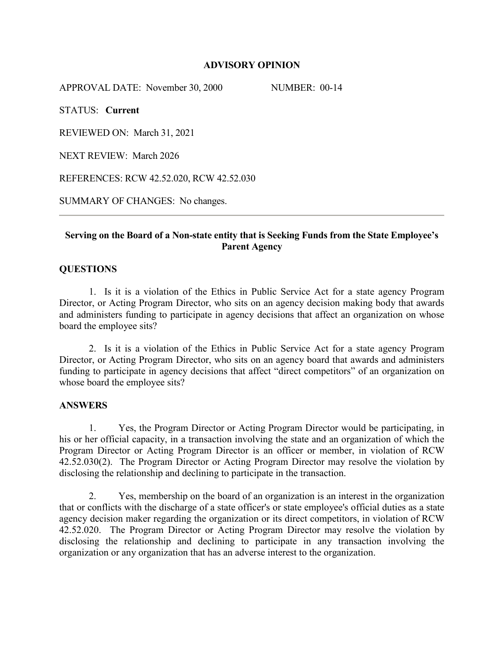### **ADVISORY OPINION**

APPROVAL DATE: November 30, 2000 NUMBER: 00-14

STATUS: **Current**

REVIEWED ON: March 31, 2021

NEXT REVIEW: March 2026

REFERENCES: RCW 42.52.020, RCW 42.52.030

SUMMARY OF CHANGES: No changes.

# **Serving on the Board of a Non-state entity that is Seeking Funds from the State Employee's Parent Agency**

## **QUESTIONS**

1. Is it is a violation of the Ethics in Public Service Act for a state agency Program Director, or Acting Program Director, who sits on an agency decision making body that awards and administers funding to participate in agency decisions that affect an organization on whose board the employee sits?

2. Is it is a violation of the Ethics in Public Service Act for a state agency Program Director, or Acting Program Director, who sits on an agency board that awards and administers funding to participate in agency decisions that affect "direct competitors" of an organization on whose board the employee sits?

### **ANSWERS**

1. Yes, the Program Director or Acting Program Director would be participating, in his or her official capacity, in a transaction involving the state and an organization of which the Program Director or Acting Program Director is an officer or member, in violation of RCW 42.52.030(2). The Program Director or Acting Program Director may resolve the violation by disclosing the relationship and declining to participate in the transaction.

2. Yes, membership on the board of an organization is an interest in the organization that or conflicts with the discharge of a state officer's or state employee's official duties as a state agency decision maker regarding the organization or its direct competitors, in violation of RCW 42.52.020. The Program Director or Acting Program Director may resolve the violation by disclosing the relationship and declining to participate in any transaction involving the organization or any organization that has an adverse interest to the organization.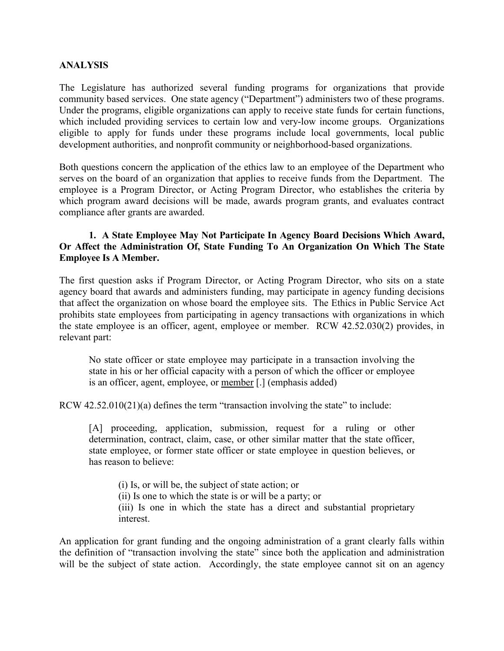### **ANALYSIS**

The Legislature has authorized several funding programs for organizations that provide community based services. One state agency ("Department") administers two of these programs. Under the programs, eligible organizations can apply to receive state funds for certain functions, which included providing services to certain low and very-low income groups. Organizations eligible to apply for funds under these programs include local governments, local public development authorities, and nonprofit community or neighborhood-based organizations.

Both questions concern the application of the ethics law to an employee of the Department who serves on the board of an organization that applies to receive funds from the Department. The employee is a Program Director, or Acting Program Director, who establishes the criteria by which program award decisions will be made, awards program grants, and evaluates contract compliance after grants are awarded.

## **1. A State Employee May Not Participate In Agency Board Decisions Which Award, Or Affect the Administration Of, State Funding To An Organization On Which The State Employee Is A Member.**

The first question asks if Program Director, or Acting Program Director, who sits on a state agency board that awards and administers funding, may participate in agency funding decisions that affect the organization on whose board the employee sits. The Ethics in Public Service Act prohibits state employees from participating in agency transactions with organizations in which the state employee is an officer, agent, employee or member. RCW 42.52.030(2) provides, in relevant part:

No state officer or state employee may participate in a transaction involving the state in his or her official capacity with a person of which the officer or employee is an officer, agent, employee, or member [.] (emphasis added)

RCW 42.52.010(21)(a) defines the term "transaction involving the state" to include:

[A] proceeding, application, submission, request for a ruling or other determination, contract, claim, case, or other similar matter that the state officer, state employee, or former state officer or state employee in question believes, or has reason to believe:

(i) Is, or will be, the subject of state action; or (ii) Is one to which the state is or will be a party; or (iii) Is one in which the state has a direct and substantial proprietary interest.

An application for grant funding and the ongoing administration of a grant clearly falls within the definition of "transaction involving the state" since both the application and administration will be the subject of state action. Accordingly, the state employee cannot sit on an agency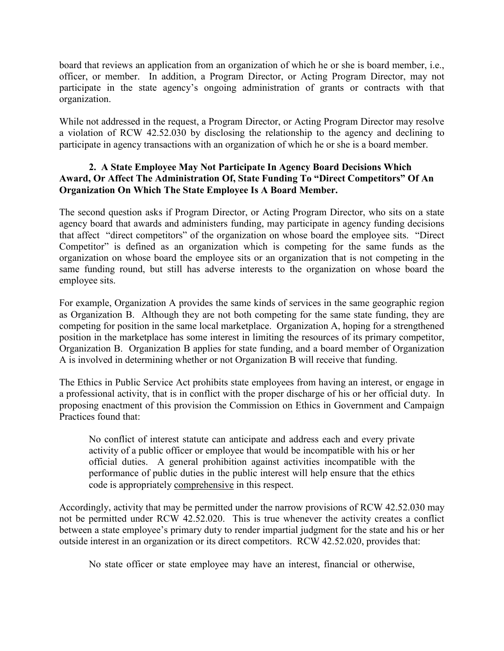board that reviews an application from an organization of which he or she is board member, i.e., officer, or member. In addition, a Program Director, or Acting Program Director, may not participate in the state agency's ongoing administration of grants or contracts with that organization.

While not addressed in the request, a Program Director, or Acting Program Director may resolve a violation of RCW 42.52.030 by disclosing the relationship to the agency and declining to participate in agency transactions with an organization of which he or she is a board member.

# **2. A State Employee May Not Participate In Agency Board Decisions Which Award, Or Affect The Administration Of, State Funding To "Direct Competitors" Of An Organization On Which The State Employee Is A Board Member.**

The second question asks if Program Director, or Acting Program Director, who sits on a state agency board that awards and administers funding, may participate in agency funding decisions that affect "direct competitors" of the organization on whose board the employee sits. "Direct Competitor" is defined as an organization which is competing for the same funds as the organization on whose board the employee sits or an organization that is not competing in the same funding round, but still has adverse interests to the organization on whose board the employee sits.

For example, Organization A provides the same kinds of services in the same geographic region as Organization B. Although they are not both competing for the same state funding, they are competing for position in the same local marketplace. Organization A, hoping for a strengthened position in the marketplace has some interest in limiting the resources of its primary competitor, Organization B. Organization B applies for state funding, and a board member of Organization A is involved in determining whether or not Organization B will receive that funding.

The Ethics in Public Service Act prohibits state employees from having an interest, or engage in a professional activity, that is in conflict with the proper discharge of his or her official duty. In proposing enactment of this provision the Commission on Ethics in Government and Campaign Practices found that:

No conflict of interest statute can anticipate and address each and every private activity of a public officer or employee that would be incompatible with his or her official duties. A general prohibition against activities incompatible with the performance of public duties in the public interest will help ensure that the ethics code is appropriately comprehensive in this respect.

Accordingly, activity that may be permitted under the narrow provisions of RCW 42.52.030 may not be permitted under RCW 42.52.020. This is true whenever the activity creates a conflict between a state employee's primary duty to render impartial judgment for the state and his or her outside interest in an organization or its direct competitors. RCW 42.52.020, provides that:

No state officer or state employee may have an interest, financial or otherwise,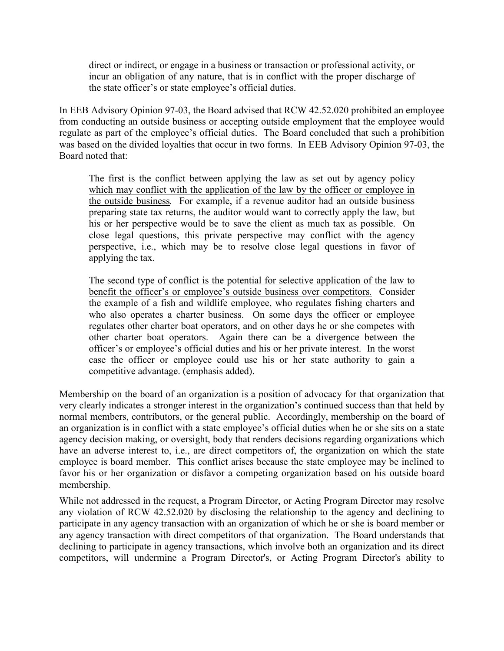direct or indirect, or engage in a business or transaction or professional activity, or incur an obligation of any nature, that is in conflict with the proper discharge of the state officer's or state employee's official duties.

In EEB Advisory Opinion 97-03, the Board advised that RCW 42.52.020 prohibited an employee from conducting an outside business or accepting outside employment that the employee would regulate as part of the employee's official duties. The Board concluded that such a prohibition was based on the divided loyalties that occur in two forms. In EEB Advisory Opinion 97-03, the Board noted that:

The first is the conflict between applying the law as set out by agency policy which may conflict with the application of the law by the officer or employee in the outside business*.* For example, if a revenue auditor had an outside business preparing state tax returns, the auditor would want to correctly apply the law, but his or her perspective would be to save the client as much tax as possible. On close legal questions, this private perspective may conflict with the agency perspective, i.e., which may be to resolve close legal questions in favor of applying the tax.

The second type of conflict is the potential for selective application of the law to benefit the officer's or employee's outside business over competitors*.* Consider the example of a fish and wildlife employee, who regulates fishing charters and who also operates a charter business. On some days the officer or employee regulates other charter boat operators, and on other days he or she competes with other charter boat operators. Again there can be a divergence between the officer's or employee's official duties and his or her private interest. In the worst case the officer or employee could use his or her state authority to gain a competitive advantage. (emphasis added).

Membership on the board of an organization is a position of advocacy for that organization that very clearly indicates a stronger interest in the organization's continued success than that held by normal members, contributors, or the general public. Accordingly, membership on the board of an organization is in conflict with a state employee's official duties when he or she sits on a state agency decision making, or oversight, body that renders decisions regarding organizations which have an adverse interest to, i.e., are direct competitors of, the organization on which the state employee is board member. This conflict arises because the state employee may be inclined to favor his or her organization or disfavor a competing organization based on his outside board membership.

While not addressed in the request, a Program Director, or Acting Program Director may resolve any violation of RCW 42.52.020 by disclosing the relationship to the agency and declining to participate in any agency transaction with an organization of which he or she is board member or any agency transaction with direct competitors of that organization. The Board understands that declining to participate in agency transactions, which involve both an organization and its direct competitors, will undermine a Program Director's, or Acting Program Director's ability to